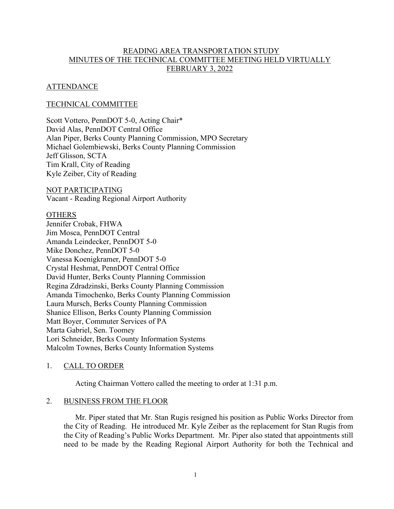# READING AREA TRANSPORTATION STUDY MINUTES OF THE TECHNICAL COMMITTEE MEETING HELD VIRTUALLY FEBRUARY 3, 2022

## ATTENDANCE

## TECHNICAL COMMITTEE

Scott Vottero, PennDOT 5-0, Acting Chair\* David Alas, PennDOT Central Office Alan Piper, Berks County Planning Commission, MPO Secretary Michael Golembiewski, Berks County Planning Commission Jeff Glisson, SCTA Tim Krall, City of Reading Kyle Zeiber, City of Reading

NOT PARTICIPATING Vacant - Reading Regional Airport Authority

#### **OTHERS**

Jennifer Crobak, FHWA Jim Mosca, PennDOT Central Amanda Leindecker, PennDOT 5-0 Mike Donchez, PennDOT 5-0 Vanessa Koenigkramer, PennDOT 5-0 Crystal Heshmat, PennDOT Central Office David Hunter, Berks County Planning Commission Regina Zdradzinski, Berks County Planning Commission Amanda Timochenko, Berks County Planning Commission Laura Mursch, Berks County Planning Commission Shanice Ellison, Berks County Planning Commission Matt Boyer, Commuter Services of PA Marta Gabriel, Sen. Toomey Lori Schneider, Berks County Information Systems Malcolm Townes, Berks County Information Systems

## 1. CALL TO ORDER

Acting Chairman Vottero called the meeting to order at 1:31 p.m.

#### 2. BUSINESS FROM THE FLOOR

Mr. Piper stated that Mr. Stan Rugis resigned his position as Public Works Director from the City of Reading. He introduced Mr. Kyle Zeiber as the replacement for Stan Rugis from the City of Reading's Public Works Department. Mr. Piper also stated that appointments still need to be made by the Reading Regional Airport Authority for both the Technical and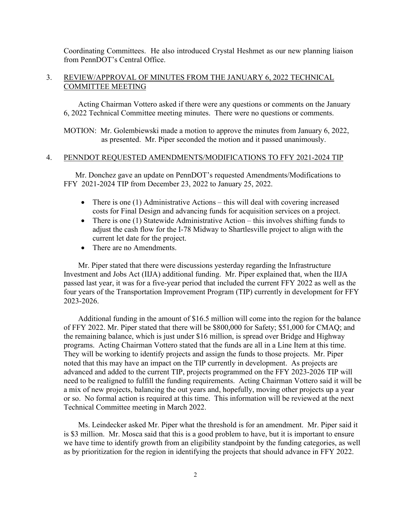Coordinating Committees. He also introduced Crystal Heshmet as our new planning liaison from PennDOT's Central Office.

## 3. REVIEW/APPROVAL OF MINUTES FROM THE JANUARY 6, 2022 TECHNICAL COMMITTEE MEETING

Acting Chairman Vottero asked if there were any questions or comments on the January 6, 2022 Technical Committee meeting minutes. There were no questions or comments.

MOTION: Mr. Golembiewski made a motion to approve the minutes from January 6, 2022, as presented. Mr. Piper seconded the motion and it passed unanimously.

## 4. PENNDOT REQUESTED AMENDMENTS/MODIFICATIONS TO FFY 2021-2024 TIP

Mr. Donchez gave an update on PennDOT's requested Amendments/Modifications to FFY 2021-2024 TIP from December 23, 2022 to January 25, 2022.

- There is one (1) Administrative Actions this will deal with covering increased costs for Final Design and advancing funds for acquisition services on a project.
- There is one (1) Statewide Administrative Action this involves shifting funds to adjust the cash flow for the I-78 Midway to Shartlesville project to align with the current let date for the project.
- There are no Amendments.

Mr. Piper stated that there were discussions yesterday regarding the Infrastructure Investment and Jobs Act (IIJA) additional funding. Mr. Piper explained that, when the IIJA passed last year, it was for a five-year period that included the current FFY 2022 as well as the four years of the Transportation Improvement Program (TIP) currently in development for FFY 2023-2026.

Additional funding in the amount of \$16.5 million will come into the region for the balance of FFY 2022. Mr. Piper stated that there will be \$800,000 for Safety; \$51,000 for CMAQ; and the remaining balance, which is just under \$16 million, is spread over Bridge and Highway programs. Acting Chairman Vottero stated that the funds are all in a Line Item at this time. They will be working to identify projects and assign the funds to those projects. Mr. Piper noted that this may have an impact on the TIP currently in development. As projects are advanced and added to the current TIP, projects programmed on the FFY 2023-2026 TIP will need to be realigned to fulfill the funding requirements. Acting Chairman Vottero said it will be a mix of new projects, balancing the out years and, hopefully, moving other projects up a year or so. No formal action is required at this time. This information will be reviewed at the next Technical Committee meeting in March 2022.

Ms. Leindecker asked Mr. Piper what the threshold is for an amendment. Mr. Piper said it is \$3 million. Mr. Mosca said that this is a good problem to have, but it is important to ensure we have time to identify growth from an eligibility standpoint by the funding categories, as well as by prioritization for the region in identifying the projects that should advance in FFY 2022.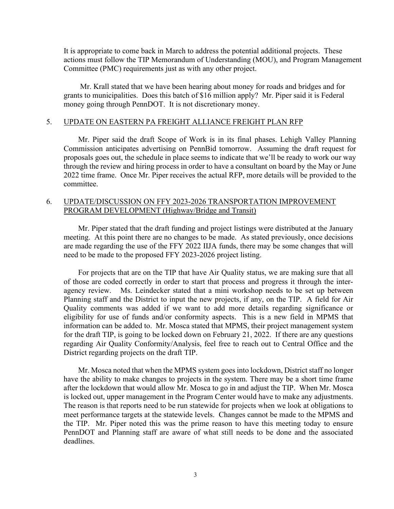It is appropriate to come back in March to address the potential additional projects. These actions must follow the TIP Memorandum of Understanding (MOU), and Program Management Committee (PMC) requirements just as with any other project.

Mr. Krall stated that we have been hearing about money for roads and bridges and for grants to municipalities. Does this batch of \$16 million apply? Mr. Piper said it is Federal money going through PennDOT. It is not discretionary money.

#### 5. UPDATE ON EASTERN PA FREIGHT ALLIANCE FREIGHT PLAN RFP

Mr. Piper said the draft Scope of Work is in its final phases. Lehigh Valley Planning Commission anticipates advertising on PennBid tomorrow. Assuming the draft request for proposals goes out, the schedule in place seems to indicate that we'll be ready to work our way through the review and hiring process in order to have a consultant on board by the May or June 2022 time frame. Once Mr. Piper receives the actual RFP, more details will be provided to the committee.

## 6. UPDATE/DISCUSSION ON FFY 2023-2026 TRANSPORTATION IMPROVEMENT PROGRAM DEVELOPMENT (Highway/Bridge and Transit)

Mr. Piper stated that the draft funding and project listings were distributed at the January meeting. At this point there are no changes to be made. As stated previously, once decisions are made regarding the use of the FFY 2022 IIJA funds, there may be some changes that will need to be made to the proposed FFY 2023-2026 project listing.

For projects that are on the TIP that have Air Quality status, we are making sure that all of those are coded correctly in order to start that process and progress it through the interagency review. Ms. Leindecker stated that a mini workshop needs to be set up between Planning staff and the District to input the new projects, if any, on the TIP. A field for Air Quality comments was added if we want to add more details regarding significance or eligibility for use of funds and/or conformity aspects. This is a new field in MPMS that information can be added to. Mr. Mosca stated that MPMS, their project management system for the draft TIP, is going to be locked down on February 21, 2022. If there are any questions regarding Air Quality Conformity/Analysis, feel free to reach out to Central Office and the District regarding projects on the draft TIP.

Mr. Mosca noted that when the MPMS system goes into lockdown, District staff no longer have the ability to make changes to projects in the system. There may be a short time frame after the lockdown that would allow Mr. Mosca to go in and adjust the TIP. When Mr. Mosca is locked out, upper management in the Program Center would have to make any adjustments. The reason is that reports need to be run statewide for projects when we look at obligations to meet performance targets at the statewide levels. Changes cannot be made to the MPMS and the TIP. Mr. Piper noted this was the prime reason to have this meeting today to ensure PennDOT and Planning staff are aware of what still needs to be done and the associated deadlines.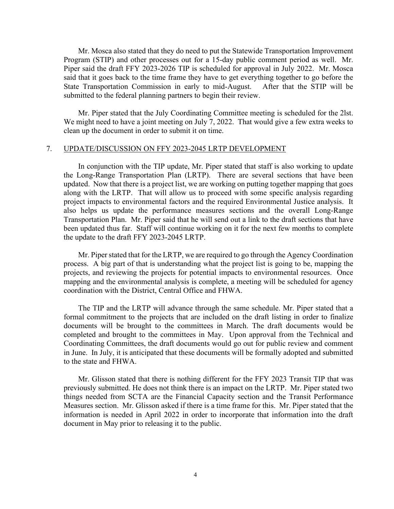Mr. Mosca also stated that they do need to put the Statewide Transportation Improvement Program (STIP) and other processes out for a 15-day public comment period as well. Mr. Piper said the draft FFY 2023-2026 TIP is scheduled for approval in July 2022. Mr. Mosca said that it goes back to the time frame they have to get everything together to go before the State Transportation Commission in early to mid-August. After that the STIP will be submitted to the federal planning partners to begin their review.

Mr. Piper stated that the July Coordinating Committee meeting is scheduled for the 2lst. We might need to have a joint meeting on July 7, 2022. That would give a few extra weeks to clean up the document in order to submit it on time.

### 7. UPDATE/DISCUSSION ON FFY 2023-2045 LRTP DEVELOPMENT

In conjunction with the TIP update, Mr. Piper stated that staff is also working to update the Long-Range Transportation Plan (LRTP). There are several sections that have been updated. Now that there is a project list, we are working on putting together mapping that goes along with the LRTP. That will allow us to proceed with some specific analysis regarding project impacts to environmental factors and the required Environmental Justice analysis. It also helps us update the performance measures sections and the overall Long-Range Transportation Plan. Mr. Piper said that he will send out a link to the draft sections that have been updated thus far. Staff will continue working on it for the next few months to complete the update to the draft FFY 2023-2045 LRTP.

Mr. Piper stated that for the LRTP, we are required to go through the Agency Coordination process. A big part of that is understanding what the project list is going to be, mapping the projects, and reviewing the projects for potential impacts to environmental resources. Once mapping and the environmental analysis is complete, a meeting will be scheduled for agency coordination with the District, Central Office and FHWA.

The TIP and the LRTP will advance through the same schedule. Mr. Piper stated that a formal commitment to the projects that are included on the draft listing in order to finalize documents will be brought to the committees in March. The draft documents would be completed and brought to the committees in May. Upon approval from the Technical and Coordinating Committees, the draft documents would go out for public review and comment in June. In July, it is anticipated that these documents will be formally adopted and submitted to the state and FHWA.

Mr. Glisson stated that there is nothing different for the FFY 2023 Transit TIP that was previously submitted. He does not think there is an impact on the LRTP. Mr. Piper stated two things needed from SCTA are the Financial Capacity section and the Transit Performance Measures section. Mr. Glisson asked if there is a time frame for this. Mr. Piper stated that the information is needed in April 2022 in order to incorporate that information into the draft document in May prior to releasing it to the public.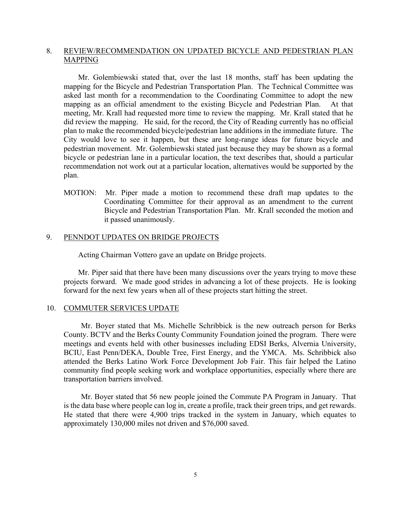## 8. REVIEW/RECOMMENDATION ON UPDATED BICYCLE AND PEDESTRIAN PLAN MAPPING

Mr. Golembiewski stated that, over the last 18 months, staff has been updating the mapping for the Bicycle and Pedestrian Transportation Plan. The Technical Committee was asked last month for a recommendation to the Coordinating Committee to adopt the new mapping as an official amendment to the existing Bicycle and Pedestrian Plan. At that meeting, Mr. Krall had requested more time to review the mapping. Mr. Krall stated that he did review the mapping. He said, for the record, the City of Reading currently has no official plan to make the recommended bicycle/pedestrian lane additions in the immediate future. The City would love to see it happen, but these are long-range ideas for future bicycle and pedestrian movement. Mr. Golembiewski stated just because they may be shown as a formal bicycle or pedestrian lane in a particular location, the text describes that, should a particular recommendation not work out at a particular location, alternatives would be supported by the plan.

MOTION: Mr. Piper made a motion to recommend these draft map updates to the Coordinating Committee for their approval as an amendment to the current Bicycle and Pedestrian Transportation Plan. Mr. Krall seconded the motion and it passed unanimously.

## 9. PENNDOT UPDATES ON BRIDGE PROJECTS

Acting Chairman Vottero gave an update on Bridge projects.

Mr. Piper said that there have been many discussions over the years trying to move these projects forward. We made good strides in advancing a lot of these projects. He is looking forward for the next few years when all of these projects start hitting the street.

#### 10. COMMUTER SERVICES UPDATE

Mr. Boyer stated that Ms. Michelle Schribbick is the new outreach person for Berks County. BCTV and the Berks County Community Foundation joined the program. There were meetings and events held with other businesses including EDSI Berks, Alvernia University, BCIU, East Penn/DEKA, Double Tree, First Energy, and the YMCA. Ms. Schribbick also attended the Berks Latino Work Force Development Job Fair. This fair helped the Latino community find people seeking work and workplace opportunities, especially where there are transportation barriers involved.

Mr. Boyer stated that 56 new people joined the Commute PA Program in January. That is the data base where people can log in, create a profile, track their green trips, and get rewards. He stated that there were 4,900 trips tracked in the system in January, which equates to approximately 130,000 miles not driven and \$76,000 saved.